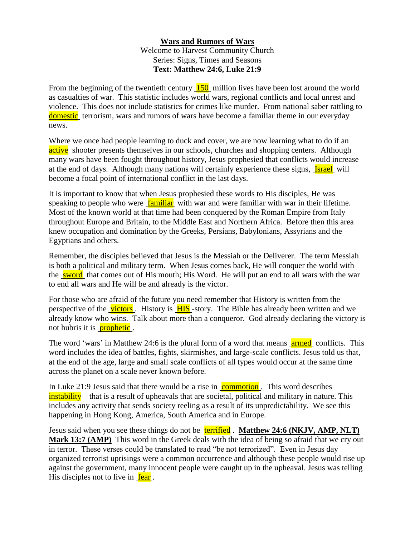## **Wars and Rumors of Wars** Welcome to Harvest Community Church Series: Signs, Times and Seasons **Text: Matthew 24:6, Luke 21:9**

From the beginning of the twentieth century 150 million lives have been lost around the world as casualties of war. This statistic includes world wars, regional conflicts and local unrest and violence. This does not include statistics for crimes like murder. From national saber rattling to domestic terrorism, wars and rumors of wars have become a familiar theme in our everyday news.

Where we once had people learning to duck and cover, we are now learning what to do if an active shooter presents themselves in our schools, churches and shopping centers. Although many wars have been fought throughout history, Jesus prophesied that conflicts would increase at the end of days. Although many nations will certainly experience these signs, **Israel** will become a focal point of international conflict in the last days.

It is important to know that when Jesus prophesied these words to His disciples, He was speaking to people who were familiar with war and were familiar with war in their lifetime. Most of the known world at that time had been conquered by the Roman Empire from Italy throughout Europe and Britain, to the Middle East and Northern Africa. Before then this area knew occupation and domination by the Greeks, Persians, Babylonians, Assyrians and the Egyptians and others.

Remember, the disciples believed that Jesus is the Messiah or the Deliverer. The term Messiah is both a political and military term. When Jesus comes back, He will conquer the world with the sword that comes out of His mouth; His Word. He will put an end to all wars with the war to end all wars and He will be and already is the victor.

For those who are afraid of the future you need remember that History is written from the perspective of the **victors**. History is **HIS**-story. The Bible has already been written and we already know who wins. Talk about more than a conqueror. God already declaring the victory is not hubris it is **prophetic**.

The word 'wars' in Matthew 24:6 is the plural form of a word that means **armed** conflicts. This word includes the idea of battles, fights, skirmishes, and large-scale conflicts. Jesus told us that, at the end of the age, large and small scale conflicts of all types would occur at the same time across the planet on a scale never known before.

In Luke 21:9 Jesus said that there would be a rise in commotion. This word describes instability that is a result of upheavals that are societal, political and military in nature. This includes any activity that sends society reeling as a result of its unpredictability. We see this happening in Hong Kong, America, South America and in Europe.

Jesus said when you see these things do not be terrified . **Matthew 24:6 (NKJV, AMP, NLT) Mark 13:7 (AMP)** This word in the Greek deals with the idea of being so afraid that we cry out in terror. These verses could be translated to read "be not terrorized". Even in Jesus day organized terrorist uprisings were a common occurrence and although these people would rise up against the government, many innocent people were caught up in the upheaval. Jesus was telling His disciples not to live in fear.